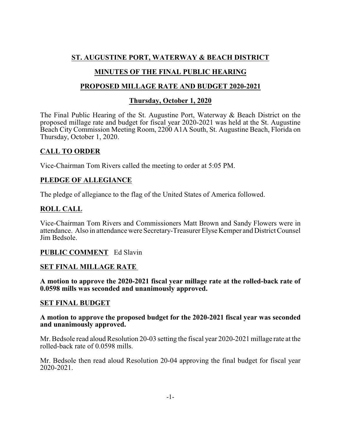# **ST. AUGUSTINE PORT, WATERWAY & BEACH DISTRICT**

# **MINUTES OF THE FINAL PUBLIC HEARING**

# **PROPOSED MILLAGE RATE AND BUDGET 2020-2021**

## **Thursday, October 1, 2020**

The Final Public Hearing of the St. Augustine Port, Waterway & Beach District on the proposed millage rate and budget for fiscal year 2020-2021 was held at the St. Augustine Beach City Commission Meeting Room, 2200 A1A South, St. Augustine Beach, Florida on Thursday, October 1, 2020.

## **CALL TO ORDER**

Vice-Chairman Tom Rivers called the meeting to order at 5:05 PM.

## **PLEDGE OF ALLEGIANCE**

The pledge of allegiance to the flag of the United States of America followed.

## **ROLL CALL**

Vice-Chairman Tom Rivers and Commissioners Matt Brown and Sandy Flowers were in attendance. Also in attendance were Secretary-Treasurer Elyse Kemper and District Counsel Jim Bedsole.

#### **PUBLIC COMMENT** Ed Slavin

#### **SET FINAL MILLAGE RATE**

**A motion to approve the 2020-2021 fiscal year millage rate at the rolled-back rate of 0.0598 mills was seconded and unanimously approved.**

#### **SET FINAL BUDGET**

#### **A motion to approve the proposed budget for the 2020-2021 fiscal year was seconded and unanimously approved.**

Mr. Bedsole read aloud Resolution 20-03 setting the fiscal year 2020-2021 millage rate at the rolled-back rate of 0.0598 mills.

Mr. Bedsole then read aloud Resolution 20-04 approving the final budget for fiscal year 2020-2021.